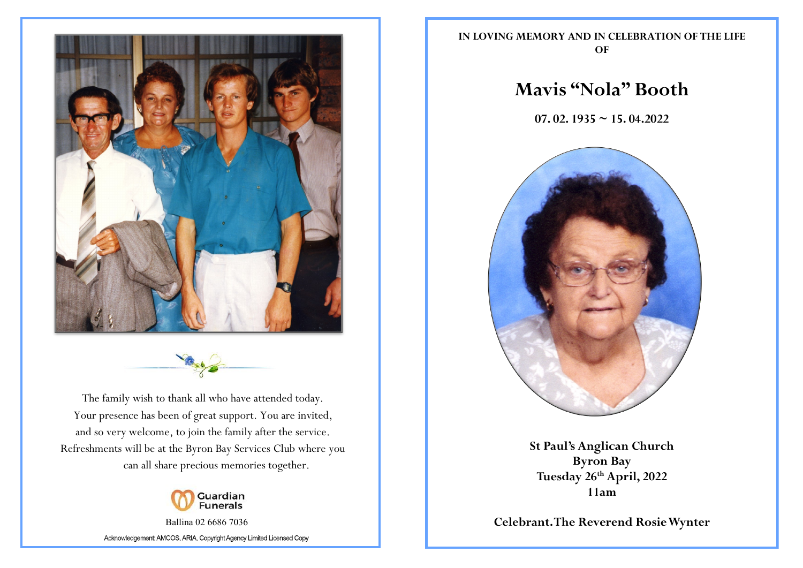



The family wish to thank all who have attended today. Your presence has been of great support. You are invited, and so very welcome, to join the family after the service. Refreshments will be at the Byron Bay Services Club where you can all share precious memories together.



Ballina 02 6686 7036 Acknowledgement: AMCOS, ARIA, Copyright Agency Limited Licensed Copy **IN LOVING MEMORY AND IN CELEBRATION OF THE LIFE OF**

# **Mavis "Nola" Booth**

**07. 02. 1935 ~ 15. 04.2022**



**St Paul's Anglican Church Byron Bay Tuesday 26th April, 2022 11am**

**Celebrant. The Reverend Rosie Wynter**